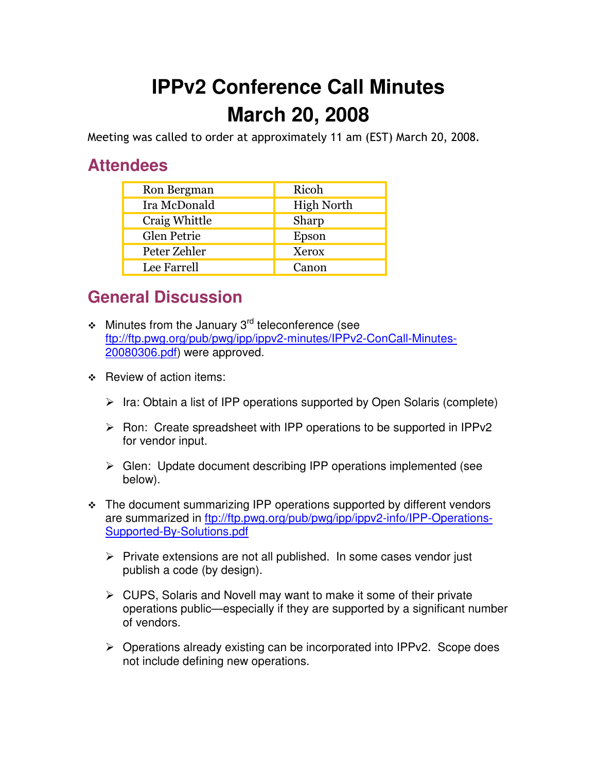## **IPPv2 Conference Call Minutes March 20, 2008**

Meeting was called to order at approximately 11 am (EST) March 20, 2008.

## **Attendees**

| Ron Bergman   | Ricoh             |
|---------------|-------------------|
| Ira McDonald  | <b>High North</b> |
| Craig Whittle | Sharp             |
| Glen Petrie   | Epson             |
| Peter Zehler  | Xerox             |
| Lee Farrell   | Canon             |

## **General Discussion**

- $\div$  Minutes from the January 3<sup>rd</sup> teleconference (see ftp://ftp.pwg.org/pub/pwg/ipp/ippv2-minutes/IPPv2-ConCall-Minutes-20080306.pdf) were approved.
- $\div$  Review of action items:
	- > Ira: Obtain a list of IPP operations supported by Open Solaris (complete)
	- > Ron: Create spreadsheet with IPP operations to be supported in IPPv2 for vendor input.
	- > Glen: Update document describing IPP operations implemented (see below).
- The document summarizing IPP operations supported by different vendors are summarized in ftp://ftp.pwg.org/pub/pwg/ipp/ippv2-info/IPP-Operations-Supported-By-Solutions.pdf
	- > Private extensions are not all published. In some cases vendor just publish a code (by design).
	- ▶ CUPS, Solaris and Novell may want to make it some of their private operations public—especially if they are supported by a significant number of vendors.
	- ▶ Operations already existing can be incorporated into IPPv2. Scope does not include defining new operations.